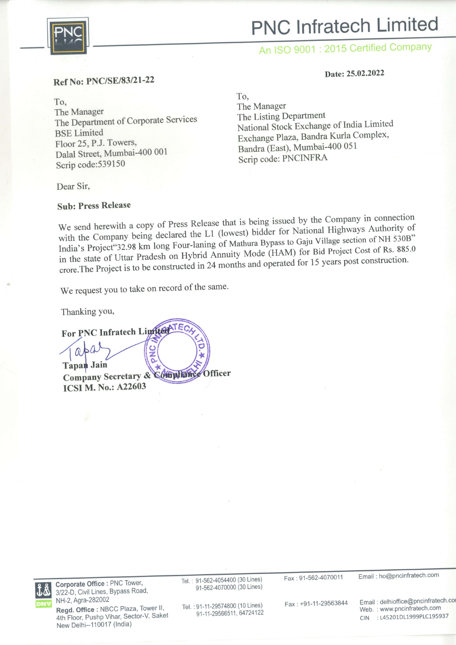

# PNC lnfratech Limited

### An ISO 9001 : 2015 Certified Company

#### Date: 25.02.2022

#### Ref No: PNC/SE/83121-22

To, The Manager The Department of Corporate Services BSE Limited Floor 25,P.J. Towers, Dalal Street, Mumbai-400 <sup>001</sup> Scrip code:539150

To, The Manager The Listing Department National Stock Exchange of India Limited Exchange Plaza, Bandra Kurla Complex, Bandra (East), Mumbai-400 05 <sup>1</sup> Scrip code: PNCINFRA

Dear Sir,

#### Sub: Press Release

We send herewith a copy of Press Release that is being issued by the Company in connection with the Company being declared the L1 (lowest) bidder for National Highways Authority of India's Project"32.98 km long Four-laning of Mathura Bypass to Gaju Village section of NH 530B" in the state of Uttar Pradesh on Hybrid Annuity Mode (HAM) for Bid Project Cost of Rs. 885.0 crore. The Project is to be constructed in 24 months and operated for 15 years post construction.

We request you to take on record of the same.

For PNC Infratech Limited TEC

Thanking You,

 $rac{c}{z}$  $\Omega$ **Tapan Jain** Company Secretary & Compleme Officer ICSI M. No.: A22603



Gorporate Office : PNC Tower, 3/22-D, Civil Lines, Bypass Road, NH-2, Agra-282002

Reqd. Office : NBCC Plaza, Tower ll, 4th Floor, Pushp Vihar, Sector-V, Saket New Delhi-110017 (lndia)

Tel.: 91-562-4054400 (30 Lines) 91-5624070000 (30 Lines)

Tel. :91-11-29574800 (10 Lines) 91-11-29566511, 64724122 Fax : 91-562-4070011

Fax +91-11-29563844

Email: ho@pncinfratech.com

Email: delhioffice@pncinfratech.co Web.: www.pncinfratech.com CIN :145201D11999P1C195937